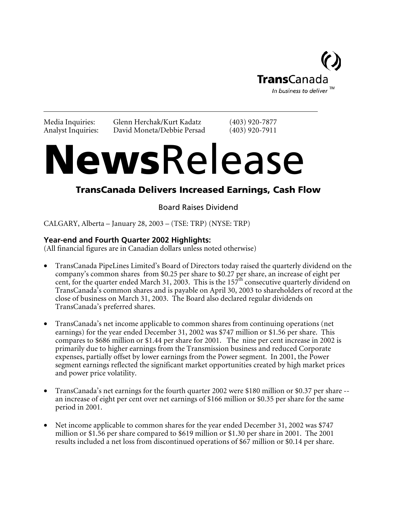

Media Inquiries: Glenn Herchak/Kurt Kadatz (403) 920-7877 Analyst Inquiries: David Moneta/Debbie Persad (403) 920-7911

# NewsRelease

# TransCanada Delivers Increased Earnings, Cash Flow

Board Raises Dividend

CALGARY, Alberta – January 28, 2003 – (TSE: TRP) (NYSE: TRP)

# **Year-end and Fourth Quarter 2002 Highlights:**

(All financial figures are in Canadian dollars unless noted otherwise)

- TransCanada PipeLines Limited's Board of Directors today raised the quarterly dividend on the company's common shares from \$0.25 per share to \$0.27 per share, an increase of eight per cent, for the quarter ended March 31, 2003. This is the  $157<sup>th</sup>$  consecutive quarterly dividend on TransCanada's common shares and is payable on April 30, 2003 to shareholders of record at the close of business on March 31, 2003. The Board also declared regular dividends on TransCanada's preferred shares.
- TransCanada's net income applicable to common shares from continuing operations (net earnings) for the year ended December 31, 2002 was \$747 million or \$1.56 per share. This compares to \$686 million or \$1.44 per share for 2001. The nine per cent increase in 2002 is primarily due to higher earnings from the Transmission business and reduced Corporate expenses, partially offset by lower earnings from the Power segment. In 2001, the Power segment earnings reflected the significant market opportunities created by high market prices and power price volatility.
- TransCanada's net earnings for the fourth quarter 2002 were \$180 million or \$0.37 per share -an increase of eight per cent over net earnings of \$166 million or \$0.35 per share for the same period in 2001.
- Net income applicable to common shares for the year ended December 31, 2002 was \$747 million or \$1.56 per share compared to \$619 million or \$1.30 per share in 2001. The 2001 results included a net loss from discontinued operations of \$67 million or \$0.14 per share.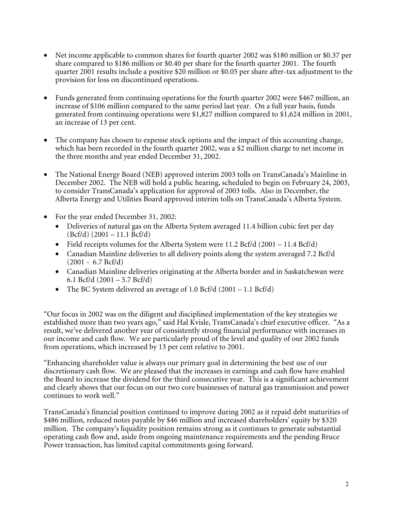- Net income applicable to common shares for fourth quarter 2002 was \$180 million or \$0.37 per share compared to \$186 million or \$0.40 per share for the fourth quarter 2001. The fourth quarter 2001 results include a positive \$20 million or \$0.05 per share after-tax adjustment to the provision for loss on discontinued operations.
- Funds generated from continuing operations for the fourth quarter 2002 were \$467 million, an increase of \$106 million compared to the same period last year. On a full year basis, funds generated from continuing operations were \$1,827 million compared to \$1,624 million in 2001, an increase of 13 per cent.
- The company has chosen to expense stock options and the impact of this accounting change, which has been recorded in the fourth quarter 2002, was a \$2 million charge to net income in the three months and year ended December 31, 2002.
- The National Energy Board (NEB) approved interim 2003 tolls on TransCanada's Mainline in December 2002. The NEB will hold a public hearing, scheduled to begin on February 24, 2003, to consider TransCanada's application for approval of 2003 tolls. Also in December, the Alberta Energy and Utilities Board approved interim tolls on TransCanada's Alberta System.
- For the year ended December 31, 2002:
	- Deliveries of natural gas on the Alberta System averaged 11.4 billion cubic feet per day  $(Bcf/d)$  (2001 – 11.1  $\text{Bcf}/d$ )
	- Field receipts volumes for the Alberta System were 11.2 Bcf/d (2001 11.4 Bcf/d)
	- Canadian Mainline deliveries to all delivery points along the system averaged 7.2 Bcf/d (2001 - 6.7 Bcf/d)
	- Canadian Mainline deliveries originating at the Alberta border and in Saskatchewan were 6.1 Bcf/d  $(2001 - 5.7 \text{ Bcf/d})$
	- The BC System delivered an average of 1.0 Bcf/d (2001 1.1 Bcf/d)

"Our focus in 2002 was on the diligent and disciplined implementation of the key strategies we established more than two years ago," said Hal Kvisle, TransCanada's chief executive officer. "As a result, we've delivered another year of consistently strong financial performance with increases in our income and cash flow. We are particularly proud of the level and quality of our 2002 funds from operations, which increased by 13 per cent relative to 2001.

"Enhancing shareholder value is always our primary goal in determining the best use of our discretionary cash flow. We are pleased that the increases in earnings and cash flow have enabled the Board to increase the dividend for the third consecutive year. This is a significant achievement and clearly shows that our focus on our two core businesses of natural gas transmission and power continues to work well."

TransCanada's financial position continued to improve during 2002 as it repaid debt maturities of \$486 million, reduced notes payable by \$46 million and increased shareholders' equity by \$320 million. The company's liquidity position remains strong as it continues to generate substantial operating cash flow and, aside from ongoing maintenance requirements and the pending Bruce Power transaction, has limited capital commitments going forward.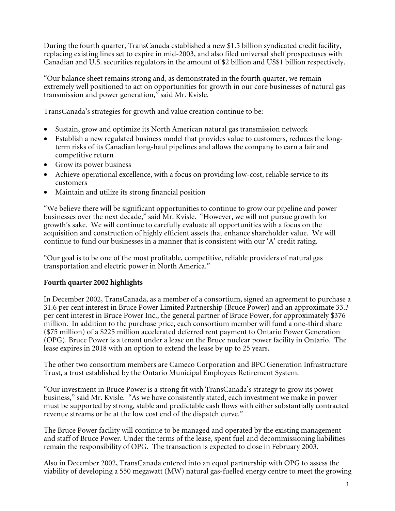During the fourth quarter, TransCanada established a new \$1.5 billion syndicated credit facility, replacing existing lines set to expire in mid-2003, and also filed universal shelf prospectuses with Canadian and U.S. securities regulators in the amount of \$2 billion and US\$1 billion respectively.

"Our balance sheet remains strong and, as demonstrated in the fourth quarter, we remain extremely well positioned to act on opportunities for growth in our core businesses of natural gas transmission and power generation," said Mr. Kvisle.

TransCanada's strategies for growth and value creation continue to be:

- Sustain, grow and optimize its North American natural gas transmission network
- Establish a new regulated business model that provides value to customers, reduces the longterm risks of its Canadian long-haul pipelines and allows the company to earn a fair and competitive return
- Grow its power business
- Achieve operational excellence, with a focus on providing low-cost, reliable service to its customers
- Maintain and utilize its strong financial position

"We believe there will be significant opportunities to continue to grow our pipeline and power businesses over the next decade," said Mr. Kvisle. "However, we will not pursue growth for growth's sake. We will continue to carefully evaluate all opportunities with a focus on the acquisition and construction of highly efficient assets that enhance shareholder value. We will continue to fund our businesses in a manner that is consistent with our 'A' credit rating.

"Our goal is to be one of the most profitable, competitive, reliable providers of natural gas transportation and electric power in North America."

# **Fourth quarter 2002 highlights**

In December 2002, TransCanada, as a member of a consortium, signed an agreement to purchase a 31.6 per cent interest in Bruce Power Limited Partnership (Bruce Power) and an approximate 33.3 per cent interest in Bruce Power Inc., the general partner of Bruce Power, for approximately \$376 million. In addition to the purchase price, each consortium member will fund a one-third share (\$75 million) of a \$225 million accelerated deferred rent payment to Ontario Power Generation (OPG). Bruce Power is a tenant under a lease on the Bruce nuclear power facility in Ontario. The lease expires in 2018 with an option to extend the lease by up to 25 years.

The other two consortium members are Cameco Corporation and BPC Generation Infrastructure Trust, a trust established by the Ontario Municipal Employees Retirement System.

"Our investment in Bruce Power is a strong fit with TransCanada's strategy to grow its power business," said Mr. Kvisle. "As we have consistently stated, each investment we make in power must be supported by strong, stable and predictable cash flows with either substantially contracted revenue streams or be at the low cost end of the dispatch curve."

The Bruce Power facility will continue to be managed and operated by the existing management and staff of Bruce Power. Under the terms of the lease, spent fuel and decommissioning liabilities remain the responsibility of OPG. The transaction is expected to close in February 2003.

Also in December 2002, TransCanada entered into an equal partnership with OPG to assess the viability of developing a 550 megawatt (MW) natural gas-fuelled energy centre to meet the growing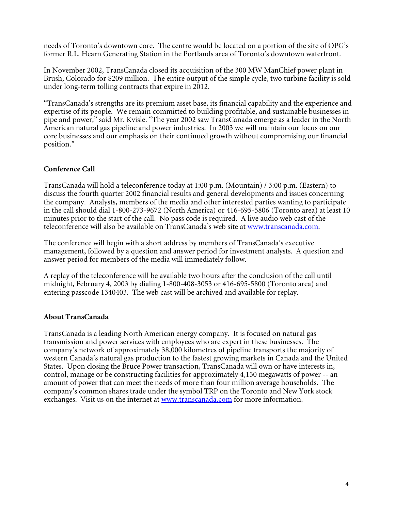needs of Toronto's downtown core. The centre would be located on a portion of the site of OPG's former R.L. Hearn Generating Station in the Portlands area of Toronto's downtown waterfront.

In November 2002, TransCanada closed its acquisition of the 300 MW ManChief power plant in Brush, Colorado for \$209 million. The entire output of the simple cycle, two turbine facility is sold under long-term tolling contracts that expire in 2012.

"TransCanada's strengths are its premium asset base, its financial capability and the experience and expertise of its people. We remain committed to building profitable, and sustainable businesses in pipe and power," said Mr. Kvisle. "The year 2002 saw TransCanada emerge as a leader in the North American natural gas pipeline and power industries. In 2003 we will maintain our focus on our core businesses and our emphasis on their continued growth without compromising our financial position."

# **Conference Call**

TransCanada will hold a teleconference today at 1:00 p.m. (Mountain) / 3:00 p.m. (Eastern) to discuss the fourth quarter 2002 financial results and general developments and issues concerning the company. Analysts, members of the media and other interested parties wanting to participate in the call should dial 1-800-273-9672 (North America) or 416-695-5806 (Toronto area) at least 10 minutes prior to the start of the call. No pass code is required. A live audio web cast of the teleconference will also be available on TransCanada's web site at www.transcanada.com.

The conference will begin with a short address by members of TransCanada's executive management, followed by a question and answer period for investment analysts. A question and answer period for members of the media will immediately follow.

A replay of the teleconference will be available two hours after the conclusion of the call until midnight, February 4*,* 2003 by dialing 1-800-408-3053 or 416-695-5800 (Toronto area) and entering passcode 1340403. The web cast will be archived and available for replay.

# **About TransCanada**

TransCanada is a leading North American energy company. It is focused on natural gas transmission and power services with employees who are expert in these businesses. The company's network of approximately 38,000 kilometres of pipeline transports the majority of western Canada's natural gas production to the fastest growing markets in Canada and the United States. Upon closing the Bruce Power transaction, TransCanada will own or have interests in, control, manage or be constructing facilities for approximately 4,150 megawatts of power -- an amount of power that can meet the needs of more than four million average households. The company's common shares trade under the symbol TRP on the Toronto and New York stock exchanges. Visit us on the internet at www.transcanada.com for more information.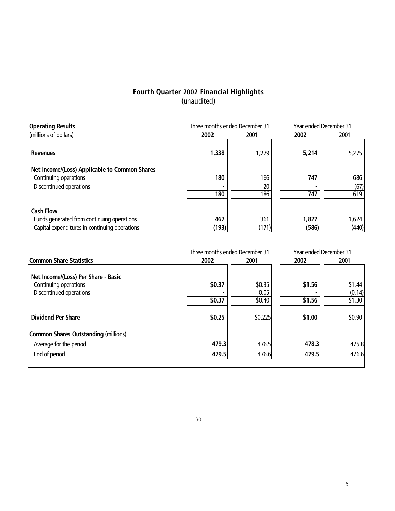# **Fourth Quarter 2002 Financial Highlights** (unaudited)

| <b>Operating Results</b>                                                                                        | Three months ended December 31 |                  |                | <b>Year ended December 31</b> |  |  |
|-----------------------------------------------------------------------------------------------------------------|--------------------------------|------------------|----------------|-------------------------------|--|--|
| (millions of dollars)                                                                                           | 2002                           | 2001             | 2002           | 2001                          |  |  |
| <b>Revenues</b>                                                                                                 | 1,338                          | 1,279            | 5,214          | 5,275                         |  |  |
| Net Income/(Loss) Applicable to Common Shares<br>Continuing operations<br>Discontinued operations               | 180<br>180                     | 166<br>20<br>186 | 747<br>747     | 686<br>(67)<br>619            |  |  |
| <b>Cash Flow</b><br>Funds generated from continuing operations<br>Capital expenditures in continuing operations | 467<br>(193)                   | 361<br>(171)     | 1,827<br>(586) | 1,624<br>(440)                |  |  |

|                  |                          |                                | Year ended December 31     |  |
|------------------|--------------------------|--------------------------------|----------------------------|--|
| 2002             | 2001                     | 2002                           | 2001                       |  |
| \$0.37<br>\$0.37 | \$0.35<br>0.05<br>\$0.40 | \$1.56<br>\$1.56               | \$1.44<br>(0.14)<br>\$1.30 |  |
| \$0.25           | \$0.225                  | \$1.00                         | \$0.90                     |  |
|                  |                          |                                |                            |  |
| 479.3            | 476.5                    | 478.3                          | 475.8                      |  |
| 479.5            | 476.6                    | 479.5                          | 476.6                      |  |
|                  |                          | Three months ended December 31 |                            |  |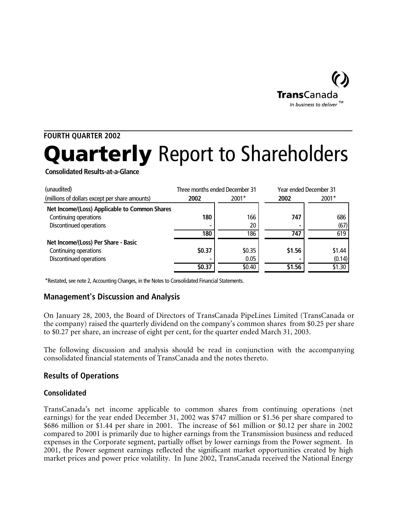

# **FOURTH QUARTER 2002**

# **Quarterly** Report to Shareholders

**Consolidated Results-at-a-Glance**

| (unaudited)                                    |        | Three months ended December 31 |        | <b>Year ended December 31</b> |  |
|------------------------------------------------|--------|--------------------------------|--------|-------------------------------|--|
| (millions of dollars except per share amounts) | 2002   | $2001*$                        | 2002   | 2001*                         |  |
| Net Income/(Loss) Applicable to Common Shares  |        |                                |        |                               |  |
| Continuing operations                          | 180    | 166                            | 747    | 686                           |  |
| Discontinued operations                        |        | 20                             |        | (67)                          |  |
|                                                | 180    | 186                            | 747    | 619                           |  |
| Net Income/(Loss) Per Share - Basic            |        |                                |        |                               |  |
| Continuing operations                          | \$0.37 | \$0.35                         | \$1.56 | \$1.44                        |  |
| Discontinued operations                        |        | 0.05                           |        | (0.14)                        |  |
|                                                | \$0.37 | \$0.40                         | \$1.56 | \$1.30                        |  |

\*Restated, see note 2, Accounting Changes, in the Notes to Consolidated Financial Statements.

# **Management's Discussion and Analysis**

On January 28, 2003, the Board of Directors of TransCanada PipeLines Limited (TransCanada or the company) raised the quarterly dividend on the company's common shares from \$0.25 per share to \$0.27 per share, an increase of eight per cent, for the quarter ended March 31, 2003.

The following discussion and analysis should be read in conjunction with the accompanying consolidated financial statements of TransCanada and the notes thereto.

# **Results of Operations**

# **Consolidated**

TransCanada's net income applicable to common shares from continuing operations (net earnings) for the year ended December 31, 2002 was \$747 million or \$1.56 per share compared to \$686 million or \$1.44 per share in 2001. The increase of \$61 million or \$0.12 per share in 2002 compared to 2001 is primarily due to higher earnings from the Transmission business and reduced expenses in the Corporate segment, partially offset by lower earnings from the Power segment. In 2001, the Power segment earnings reflected the significant market opportunities created by high market prices and power price volatility. In June 2002, TransCanada received the National Energy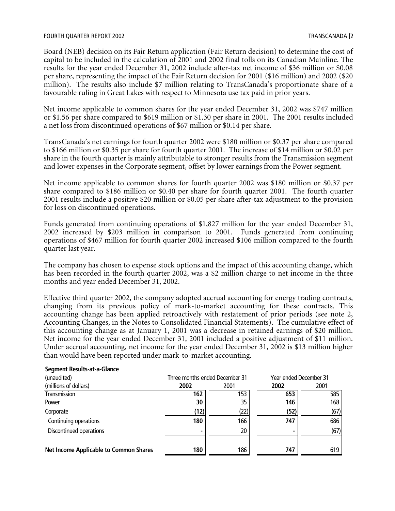Board (NEB) decision on its Fair Return application (Fair Return decision) to determine the cost of capital to be included in the calculation of 2001 and 2002 final tolls on its Canadian Mainline. The results for the year ended December 31, 2002 include after-tax net income of \$36 million or \$0.08 per share, representing the impact of the Fair Return decision for 2001 (\$16 million) and 2002 (\$20 million). The results also include \$7 million relating to TransCanada's proportionate share of a favourable ruling in Great Lakes with respect to Minnesota use tax paid in prior years.

Net income applicable to common shares for the year ended December 31, 2002 was \$747 million or \$1.56 per share compared to \$619 million or \$1.30 per share in 2001. The 2001 results included a net loss from discontinued operations of \$67 million or \$0.14 per share.

TransCanada's net earnings for fourth quarter 2002 were \$180 million or \$0.37 per share compared to \$166 million or \$0.35 per share for fourth quarter 2001. The increase of \$14 million or \$0.02 per share in the fourth quarter is mainly attributable to stronger results from the Transmission segment and lower expenses in the Corporate segment, offset by lower earnings from the Power segment.

Net income applicable to common shares for fourth quarter 2002 was \$180 million or \$0.37 per share compared to \$186 million or \$0.40 per share for fourth quarter 2001. The fourth quarter 2001 results include a positive \$20 million or \$0.05 per share after-tax adjustment to the provision for loss on discontinued operations.

Funds generated from continuing operations of \$1,827 million for the year ended December 31, 2002 increased by \$203 million in comparison to 2001. Funds generated from continuing operations of \$467 million for fourth quarter 2002 increased \$106 million compared to the fourth quarter last year.

The company has chosen to expense stock options and the impact of this accounting change, which has been recorded in the fourth quarter 2002, was a \$2 million charge to net income in the three months and year ended December 31, 2002.

Effective third quarter 2002, the company adopted accrual accounting for energy trading contracts, changing from its previous policy of mark-to-market accounting for these contracts. This accounting change has been applied retroactively with restatement of prior periods (see note 2, Accounting Changes, in the Notes to Consolidated Financial Statements). The cumulative effect of this accounting change as at January 1, 2001 was a decrease in retained earnings of \$20 million. Net income for the year ended December 31, 2001 included a positive adjustment of \$11 million. Under accrual accounting, net income for the year ended December 31, 2002 is \$13 million higher than would have been reported under mark-to-market accounting.

| (unaudited)                            |      | Three months ended December 31 |      | <b>Year ended December 31</b> |
|----------------------------------------|------|--------------------------------|------|-------------------------------|
| (millions of dollars)                  | 2002 | 2001                           | 2002 | 2001                          |
| Transmission                           | 162  | 153                            | 653  | 585                           |
| Power                                  | 30   | 35                             | 146  | 168                           |
| Corporate                              | (12) | (22)                           | (52) | (67)                          |
| Continuing operations                  | 180  | 166                            | 747  | 686                           |
| Discontinued operations                |      | 20                             |      | (67)                          |
|                                        |      |                                |      |                               |
| Net Income Applicable to Common Shares | 180  | 186                            | 747  | 619                           |

#### **Segment Results-at-a-Glance**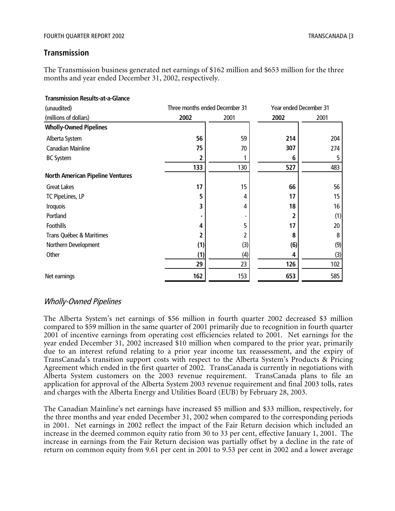# **Transmission**

The Transmission business generated net earnings of \$162 million and \$653 million for the three months and year ended December 31, 2002, respectively.

| <b>Transmission Results-at-a-Glance</b> |                                |      |      |                               |
|-----------------------------------------|--------------------------------|------|------|-------------------------------|
| (unaudited)                             | Three months ended December 31 |      |      | <b>Year ended December 31</b> |
| (millions of dollars)                   | 2002                           | 2001 | 2002 | 2001                          |
| <b>Wholly-Owned Pipelines</b>           |                                |      |      |                               |
| Alberta System                          | 56                             | 59   | 214  | 204                           |
| Canadian Mainline                       | 75                             | 70   | 307  | 274                           |
| <b>BC System</b>                        | 2                              |      | 6    | 5                             |
|                                         | 133                            | 130  | 527  | 483                           |
| <b>North American Pipeline Ventures</b> |                                |      |      |                               |
| <b>Great Lakes</b>                      | 17                             | 15   | 66   | 56                            |
| TC PipeLines, LP                        | 5                              | 4    | 17   | 15                            |
| <b>Iroquois</b>                         | 3                              | 4    | 18   | 16                            |
| Portland                                |                                |      |      | (1)                           |
| Foothills                               | 4                              | 5    | 17   | 20                            |
| Trans Québec & Maritimes                | 2                              | 2    | 8    | 8                             |
| Northern Development                    | (1)                            | (3)  | (6)  | (9)                           |
| Other                                   | (1)                            | (4)  | 4    | (3)                           |
|                                         | 29                             | 23   | 126  | 102                           |
| Net earnings                            | 162                            | 153  | 653  | 585                           |

# Wholly-Owned Pipelines

The Alberta System's net earnings of \$56 million in fourth quarter 2002 decreased \$3 million compared to \$59 million in the same quarter of 2001 primarily due to recognition in fourth quarter 2001 of incentive earnings from operating cost efficiencies related to 2001. Net earnings for the year ended December 31, 2002 increased \$10 million when compared to the prior year, primarily due to an interest refund relating to a prior year income tax reassessment, and the expiry of TransCanada's transition support costs with respect to the Alberta System's Products & Pricing Agreement which ended in the first quarter of 2002. TransCanada is currently in negotiations with Alberta System customers on the 2003 revenue requirement. TransCanada plans to file an application for approval of the Alberta System 2003 revenue requirement and final 2003 tolls, rates and charges with the Alberta Energy and Utilities Board (EUB) by February 28, 2003.

The Canadian Mainline's net earnings have increased \$5 million and \$33 million, respectively, for the three months and year ended December 31, 2002 when compared to the corresponding periods in 2001. Net earnings in 2002 reflect the impact of the Fair Return decision which included an increase in the deemed common equity ratio from 30 to 33 per cent, effective January 1, 2001. The increase in earnings from the Fair Return decision was partially offset by a decline in the rate of return on common equity from 9.61 per cent in 2001 to 9.53 per cent in 2002 and a lower average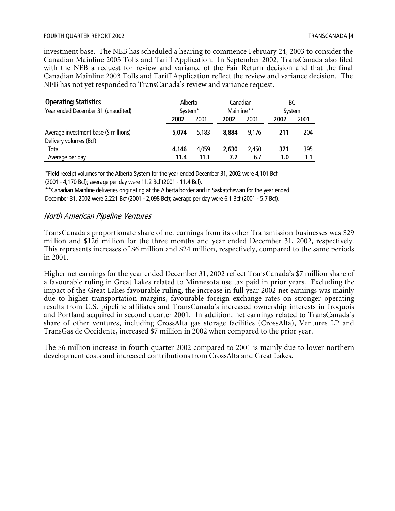#### FOURTH QUARTER REPORT 2002 TO THE SERVICE OF THE SERVICE OF TRANSCANADA [4

investment base. The NEB has scheduled a hearing to commence February 24, 2003 to consider the Canadian Mainline 2003 Tolls and Tariff Application. In September 2002, TransCanada also filed with the NEB a request for review and variance of the Fair Return decision and that the final Canadian Mainline 2003 Tolls and Tariff Application reflect the review and variance decision. The NEB has not yet responded to TransCanada's review and variance request.

| <b>Operating Statistics</b>                                     | Alberta             |       | Canadian   |       | BС     |      |
|-----------------------------------------------------------------|---------------------|-------|------------|-------|--------|------|
| Year ended December 31 (unaudited)                              | System <sup>*</sup> |       | Mainline** |       | System |      |
|                                                                 | 2002                | 2001  | 2002       | 2001  | 2002   | 2001 |
| Average investment base (\$ millions)<br>Delivery volumes (Bcf) | 5.074               | 5.183 | 8.884      | 9.176 | 211    | 204  |
| <b>Total</b>                                                    | 4,146               | 4.059 | 2,630      | 2.450 | 371    | 395  |
| Average per day                                                 | 11.4                | 11.1  | 7.2        | 6.7   | 1.0    | 1.1  |

\*Field receipt volumes for the Alberta System for the year ended December 31, 2002 were 4,101 Bcf (2001 - 4,170 Bcf); average per day were 11.2 Bcf (2001 - 11.4 Bcf).

\*\*Canadian Mainline deliveries originating at the Alberta border and in Saskatchewan for the year ended December 31, 2002 were 2,221 Bcf (2001 - 2,098 Bcf); average per day were 6.1 Bcf (2001 - 5.7 Bcf).

# North American Pipeline Ventures

TransCanada's proportionate share of net earnings from its other Transmission businesses was \$29 million and \$126 million for the three months and year ended December 31, 2002, respectively. This represents increases of \$6 million and \$24 million, respectively, compared to the same periods in 2001.

Higher net earnings for the year ended December 31, 2002 reflect TransCanada's \$7 million share of a favourable ruling in Great Lakes related to Minnesota use tax paid in prior years. Excluding the impact of the Great Lakes favourable ruling, the increase in full year 2002 net earnings was mainly due to higher transportation margins, favourable foreign exchange rates on stronger operating results from U.S. pipeline affiliates and TransCanada's increased ownership interests in Iroquois and Portland acquired in second quarter 2001. In addition, net earnings related to TransCanada's share of other ventures, including CrossAlta gas storage facilities (CrossAlta), Ventures LP and TransGas de Occidente, increased \$7 million in 2002 when compared to the prior year.

The \$6 million increase in fourth quarter 2002 compared to 2001 is mainly due to lower northern development costs and increased contributions from CrossAlta and Great Lakes.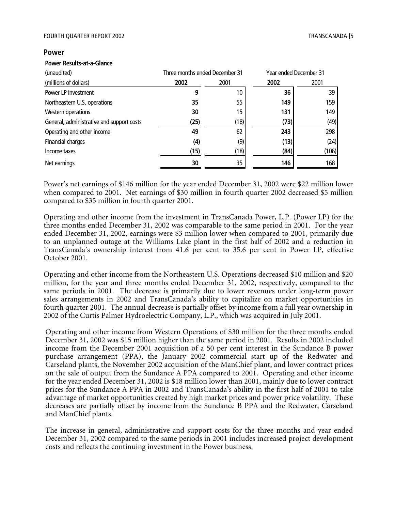#### FOURTH QUARTER REPORT 2002 TRANSCANADA [5

#### **Power**

#### **Power Results-at-a-Glance**

| (unaudited)                               | Three months ended December 31 |      |      | Year ended December 31 |
|-------------------------------------------|--------------------------------|------|------|------------------------|
| (millions of dollars)                     | 2002                           | 2001 | 2002 | 2001                   |
| Power LP investment                       | 9                              | 10   | 36   | 39                     |
| Northeastern U.S. operations              | 35                             | 55   | 149  | 159                    |
| Western operations                        | 30                             | 15   | 131  | 149                    |
| General, administrative and support costs | (25)                           | (18) | (73) | (49)                   |
| Operating and other income                | 49                             | 62   | 243  | 298                    |
| Financial charges                         | (4)                            | (9)  | (13) | (24)                   |
| Income taxes                              | (15)                           | (18) | (84) | (106)                  |
| Net earnings                              | 30                             | 35   | 146  | 168                    |

Power's net earnings of \$146 million for the year ended December 31, 2002 were \$22 million lower when compared to 2001. Net earnings of \$30 million in fourth quarter 2002 decreased \$5 million compared to \$35 million in fourth quarter 2001.

Operating and other income from the investment in TransCanada Power, L.P. (Power LP) for the three months ended December 31, 2002 was comparable to the same period in 2001. For the year ended December 31, 2002, earnings were \$3 million lower when compared to 2001, primarily due to an unplanned outage at the Williams Lake plant in the first half of 2002 and a reduction in TransCanada's ownership interest from 41.6 per cent to 35.6 per cent in Power LP, effective October 2001.

Operating and other income from the Northeastern U.S. Operations decreased \$10 million and \$20 million, for the year and three months ended December 31, 2002, respectively, compared to the same periods in 2001. The decrease is primarily due to lower revenues under long-term power sales arrangements in 2002 and TransCanada's ability to capitalize on market opportunities in fourth quarter 2001. The annual decrease is partially offset by income from a full year ownership in 2002 of the Curtis Palmer Hydroelectric Company, L.P., which was acquired in July 2001.

Operating and other income from Western Operations of \$30 million for the three months ended December 31, 2002 was \$15 million higher than the same period in 2001. Results in 2002 included income from the December 2001 acquisition of a 50 per cent interest in the Sundance B power purchase arrangement (PPA), the January 2002 commercial start up of the Redwater and Carseland plants, the November 2002 acquisition of the ManChief plant, and lower contract prices on the sale of output from the Sundance A PPA compared to 2001. Operating and other income for the year ended December 31, 2002 is \$18 million lower than 2001, mainly due to lower contract prices for the Sundance A PPA in 2002 and TransCanada's ability in the first half of 2001 to take advantage of market opportunities created by high market prices and power price volatility. These decreases are partially offset by income from the Sundance B PPA and the Redwater, Carseland and ManChief plants.

The increase in general, administrative and support costs for the three months and year ended December 31, 2002 compared to the same periods in 2001 includes increased project development costs and reflects the continuing investment in the Power business.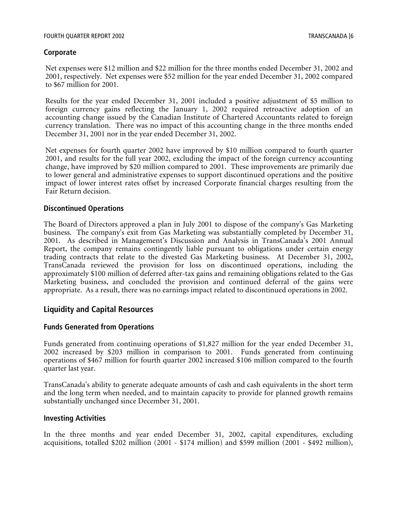# **Corporate**

Net expenses were \$12 million and \$22 million for the three months ended December 31, 2002 and 2001, respectively. Net expenses were \$52 million for the year ended December 31, 2002 compared to \$67 million for 2001.

Results for the year ended December 31, 2001 included a positive adjustment of \$5 million to foreign currency gains reflecting the January 1, 2002 required retroactive adoption of an accounting change issued by the Canadian Institute of Chartered Accountants related to foreign currency translation. There was no impact of this accounting change in the three months ended December 31, 2001 nor in the year ended December 31, 2002.

Net expenses for fourth quarter 2002 have improved by \$10 million compared to fourth quarter 2001, and results for the full year 2002, excluding the impact of the foreign currency accounting change, have improved by \$20 million compared to 2001. These improvements are primarily due to lower general and administrative expenses to support discontinued operations and the positive impact of lower interest rates offset by increased Corporate financial charges resulting from the Fair Return decision.

#### **Discontinued Operations**

The Board of Directors approved a plan in July 2001 to dispose of the company's Gas Marketing business. The company's exit from Gas Marketing was substantially completed by December 31, 2001. As described in Management's Discussion and Analysis in TransCanada's 2001 Annual Report, the company remains contingently liable pursuant to obligations under certain energy trading contracts that relate to the divested Gas Marketing business. At December 31, 2002, TransCanada reviewed the provision for loss on discontinued operations, including the approximately \$100 million of deferred after-tax gains and remaining obligations related to the Gas Marketing business, and concluded the provision and continued deferral of the gains were appropriate. As a result, there was no earnings impact related to discontinued operations in 2002.

# **Liquidity and Capital Resources**

#### **Funds Generated from Operations**

Funds generated from continuing operations of \$1,827 million for the year ended December 31, 2002 increased by \$203 million in comparison to 2001. Funds generated from continuing operations of \$467 million for fourth quarter 2002 increased \$106 million compared to the fourth quarter last year.

TransCanada's ability to generate adequate amounts of cash and cash equivalents in the short term and the long term when needed, and to maintain capacity to provide for planned growth remains substantially unchanged since December 31, 2001.

#### **Investing Activities**

In the three months and year ended December 31, 2002, capital expenditures, excluding acquisitions, totalled \$202 million (2001 - \$174 million) and \$599 million (2001 - \$492 million),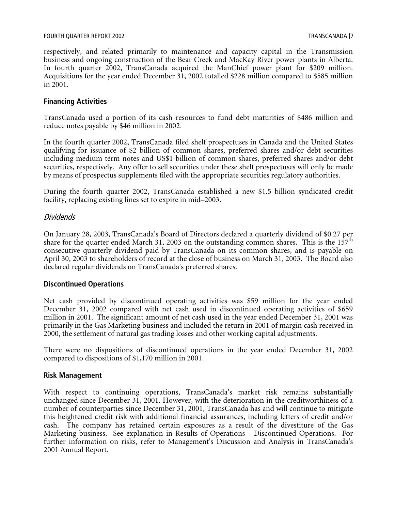respectively, and related primarily to maintenance and capacity capital in the Transmission business and ongoing construction of the Bear Creek and MacKay River power plants in Alberta. In fourth quarter 2002, TransCanada acquired the ManChief power plant for \$209 million. Acquisitions for the year ended December 31, 2002 totalled \$228 million compared to \$585 million in 2001.

# **Financing Activities**

TransCanada used a portion of its cash resources to fund debt maturities of \$486 million and reduce notes payable by \$46 million in 2002.

In the fourth quarter 2002, TransCanada filed shelf prospectuses in Canada and the United States qualifying for issuance of \$2 billion of common shares, preferred shares and/or debt securities including medium term notes and US\$1 billion of common shares, preferred shares and/or debt securities, respectively. Any offer to sell securities under these shelf prospectuses will only be made by means of prospectus supplements filed with the appropriate securities regulatory authorities.

During the fourth quarter 2002, TransCanada established a new \$1.5 billion syndicated credit facility, replacing existing lines set to expire in mid–2003.

#### Dividends

On January 28, 2003, TransCanada's Board of Directors declared a quarterly dividend of \$0.27 per share for the quarter ended March 31, 2003 on the outstanding common shares. This is the  $157<sup>th</sup>$ consecutive quarterly dividend paid by TransCanada on its common shares, and is payable on April 30, 2003 to shareholders of record at the close of business on March 31, 2003. The Board also declared regular dividends on TransCanada's preferred shares.

#### **Discontinued Operations**

Net cash provided by discontinued operating activities was \$59 million for the year ended December 31, 2002 compared with net cash used in discontinued operating activities of \$659 million in 2001. The significant amount of net cash used in the year ended December 31, 2001 was primarily in the Gas Marketing business and included the return in 2001 of margin cash received in 2000, the settlement of natural gas trading losses and other working capital adjustments.

There were no dispositions of discontinued operations in the year ended December 31, 2002 compared to dispositions of \$1,170 million in 2001.

#### **Risk Management**

With respect to continuing operations, TransCanada's market risk remains substantially unchanged since December 31, 2001. However, with the deterioration in the creditworthiness of a number of counterparties since December 31, 2001, TransCanada has and will continue to mitigate this heightened credit risk with additional financial assurances, including letters of credit and/or cash. The company has retained certain exposures as a result of the divestiture of the Gas Marketing business. See explanation in Results of Operations - Discontinued Operations. For further information on risks, refer to Management's Discussion and Analysis in TransCanada's 2001 Annual Report.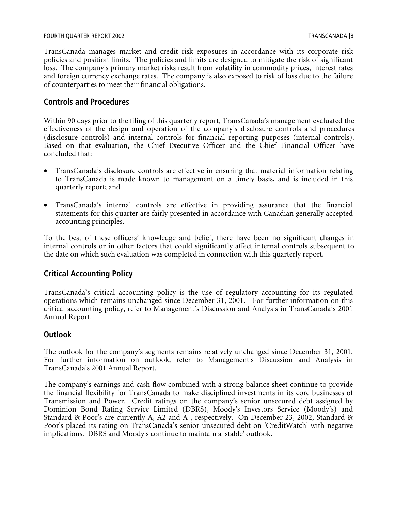#### FOURTH QUARTER REPORT 2002 TRANSCANADA [8

TransCanada manages market and credit risk exposures in accordance with its corporate risk policies and position limits. The policies and limits are designed to mitigate the risk of significant loss. The company's primary market risks result from volatility in commodity prices, interest rates and foreign currency exchange rates. The company is also exposed to risk of loss due to the failure of counterparties to meet their financial obligations.

# **Controls and Procedures**

Within 90 days prior to the filing of this quarterly report, TransCanada's management evaluated the effectiveness of the design and operation of the company's disclosure controls and procedures (disclosure controls) and internal controls for financial reporting purposes (internal controls). Based on that evaluation, the Chief Executive Officer and the Chief Financial Officer have concluded that:

- TransCanada's disclosure controls are effective in ensuring that material information relating to TransCanada is made known to management on a timely basis, and is included in this quarterly report; and
- TransCanada's internal controls are effective in providing assurance that the financial statements for this quarter are fairly presented in accordance with Canadian generally accepted accounting principles.

To the best of these officers' knowledge and belief, there have been no significant changes in internal controls or in other factors that could significantly affect internal controls subsequent to the date on which such evaluation was completed in connection with this quarterly report.

# **Critical Accounting Policy**

TransCanada's critical accounting policy is the use of regulatory accounting for its regulated operations which remains unchanged since December 31, 2001. For further information on this critical accounting policy, refer to Management's Discussion and Analysis in TransCanada's 2001 Annual Report.

# **Outlook**

The outlook for the company's segments remains relatively unchanged since December 31, 2001. For further information on outlook, refer to Management's Discussion and Analysis in TransCanada's 2001 Annual Report.

The company's earnings and cash flow combined with a strong balance sheet continue to provide the financial flexibility for TransCanada to make disciplined investments in its core businesses of Transmission and Power. Credit ratings on the company's senior unsecured debt assigned by Dominion Bond Rating Service Limited (DBRS), Moody's Investors Service (Moody's) and Standard & Poor's are currently A, A2 and A-, respectively. On December 23, 2002, Standard & Poor's placed its rating on TransCanada's senior unsecured debt on 'CreditWatch' with negative implications. DBRS and Moody's continue to maintain a 'stable' outlook.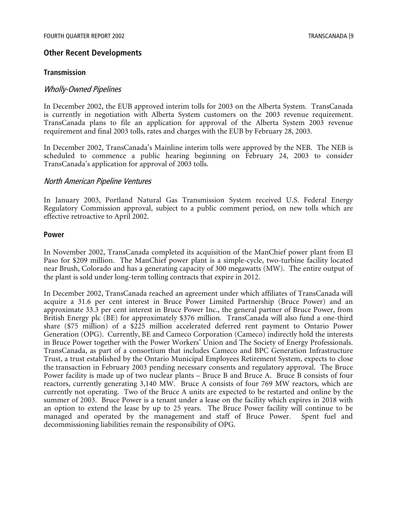# **Other Recent Developments**

#### **Transmission**

#### Wholly-Owned Pipelines

In December 2002, the EUB approved interim tolls for 2003 on the Alberta System. TransCanada is currently in negotiation with Alberta System customers on the 2003 revenue requirement. TransCanada plans to file an application for approval of the Alberta System 2003 revenue requirement and final 2003 tolls, rates and charges with the EUB by February 28, 2003.

In December 2002, TransCanada's Mainline interim tolls were approved by the NEB. The NEB is scheduled to commence a public hearing beginning on February 24, 2003 to consider TransCanada's application for approval of 2003 tolls.

#### North American Pipeline Ventures

In January 2003, Portland Natural Gas Transmission System received U.S. Federal Energy Regulatory Commission approval, subject to a public comment period, on new tolls which are effective retroactive to April 2002.

#### **Power**

In November 2002, TransCanada completed its acquisition of the ManChief power plant from El Paso for \$209 million. The ManChief power plant is a simple-cycle, two-turbine facility located near Brush, Colorado and has a generating capacity of 300 megawatts (MW). The entire output of the plant is sold under long-term tolling contracts that expire in 2012.

In December 2002, TransCanada reached an agreement under which affiliates of TransCanada will acquire a 31.6 per cent interest in Bruce Power Limited Partnership (Bruce Power) and an approximate 33.3 per cent interest in Bruce Power Inc., the general partner of Bruce Power, from British Energy plc (BE) for approximately \$376 million. TransCanada will also fund a one-third share (\$75 million) of a \$225 million accelerated deferred rent payment to Ontario Power Generation (OPG). Currently, BE and Cameco Corporation (Cameco) indirectly hold the interests in Bruce Power together with the Power Workers' Union and The Society of Energy Professionals. TransCanada, as part of a consortium that includes Cameco and BPC Generation Infrastructure Trust, a trust established by the Ontario Municipal Employees Retirement System, expects to close the transaction in February 2003 pending necessary consents and regulatory approval. The Bruce Power facility is made up of two nuclear plants – Bruce B and Bruce A. Bruce B consists of four reactors, currently generating 3,140 MW. Bruce A consists of four 769 MW reactors, which are currently not operating. Two of the Bruce A units are expected to be restarted and online by the summer of 2003. Bruce Power is a tenant under a lease on the facility which expires in 2018 with an option to extend the lease by up to 25 years. The Bruce Power facility will continue to be managed and operated by the management and staff of Bruce Power. Spent fuel and decommissioning liabilities remain the responsibility of OPG.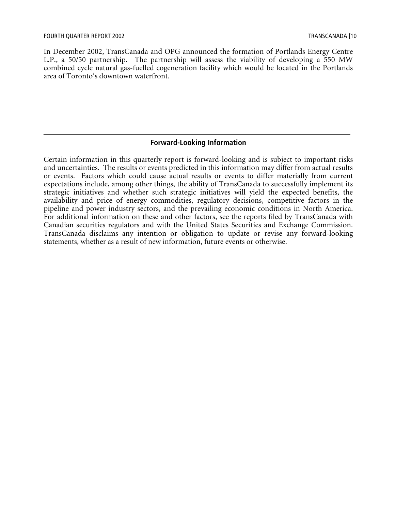In December 2002, TransCanada and OPG announced the formation of Portlands Energy Centre L.P., a 50/50 partnership. The partnership will assess the viability of developing a 550 MW combined cycle natural gas-fuelled cogeneration facility which would be located in the Portlands area of Toronto's downtown waterfront.

# **Forward-Looking Information**

Certain information in this quarterly report is forward-looking and is subject to important risks and uncertainties. The results or events predicted in this information may differ from actual results or events. Factors which could cause actual results or events to differ materially from current expectations include, among other things, the ability of TransCanada to successfully implement its strategic initiatives and whether such strategic initiatives will yield the expected benefits, the availability and price of energy commodities, regulatory decisions, competitive factors in the pipeline and power industry sectors, and the prevailing economic conditions in North America. For additional information on these and other factors, see the reports filed by TransCanada with Canadian securities regulators and with the United States Securities and Exchange Commission. TransCanada disclaims any intention or obligation to update or revise any forward-looking statements, whether as a result of new information, future events or otherwise.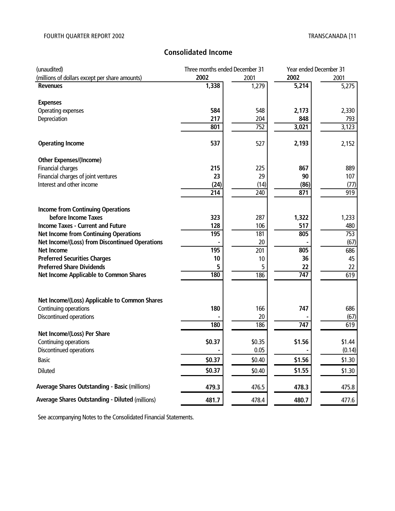# **Consolidated Income**

| (unaudited)                                            | Three months ended December 31 |        |        | Year ended December 31 |  |
|--------------------------------------------------------|--------------------------------|--------|--------|------------------------|--|
| (millions of dollars except per share amounts)         | 2002                           | 2001   | 2002   | 2001                   |  |
| <b>Revenues</b>                                        | 1,338                          | 1,279  | 5,214  | 5,275                  |  |
| <b>Expenses</b>                                        |                                |        |        |                        |  |
| Operating expenses                                     | 584                            | 548    | 2,173  | 2,330                  |  |
| Depreciation                                           | 217                            | 204    | 848    | 793                    |  |
|                                                        | $80\overline{1}$               | 752    | 3,021  | 3,123                  |  |
| <b>Operating Income</b>                                | 537                            | 527    | 2,193  | 2,152                  |  |
| <b>Other Expenses/(Income)</b>                         |                                |        |        |                        |  |
| Financial charges                                      | 215                            | 225    | 867    | 889                    |  |
| Financial charges of joint ventures                    | 23                             | 29     | 90     | 107                    |  |
| Interest and other income                              | (24)                           | (14)   | (86)   | (77)                   |  |
|                                                        | 214                            | 240    | 871    | 919                    |  |
| <b>Income from Continuing Operations</b>               |                                |        |        |                        |  |
| before Income Taxes                                    | 323                            | 287    | 1,322  | 1,233                  |  |
| <b>Income Taxes - Current and Future</b>               | 128                            | 106    | 517    | 480                    |  |
| <b>Net Income from Continuing Operations</b>           | 195                            | 181    | 805    | 753                    |  |
| Net Income/(Loss) from Discontinued Operations         |                                | 20     |        | (67)                   |  |
| <b>Net Income</b>                                      | 195                            | 201    | 805    | 686                    |  |
| <b>Preferred Securities Charges</b>                    | 10                             | 10     | 36     | 45                     |  |
| <b>Preferred Share Dividends</b>                       | 5                              | 5      | 22     | 22                     |  |
| Net Income Applicable to Common Shares                 | 180                            | 186    | 747    | $\overline{619}$       |  |
| Net Income/(Loss) Applicable to Common Shares          |                                |        |        |                        |  |
| Continuing operations                                  | 180                            | 166    | 747    | 686                    |  |
| Discontinued operations                                |                                | 20     |        | (67)                   |  |
|                                                        | 180                            | 186    | 747    | 619                    |  |
| Net Income/(Loss) Per Share                            |                                |        |        |                        |  |
| Continuing operations                                  | \$0.37                         | \$0.35 | \$1.56 | \$1.44                 |  |
| Discontinued operations                                |                                | 0.05   |        | (0.14)                 |  |
| Basic                                                  | \$0.37                         | \$0.40 | \$1.56 | \$1.30                 |  |
| Diluted                                                | \$0.37                         | \$0.40 | \$1.55 | \$1.30                 |  |
| <b>Average Shares Outstanding - Basic (millions)</b>   | 479.3                          | 476.5  | 478.3  | 475.8                  |  |
| <b>Average Shares Outstanding - Diluted (millions)</b> | 481.7                          | 478.4  | 480.7  | 477.6                  |  |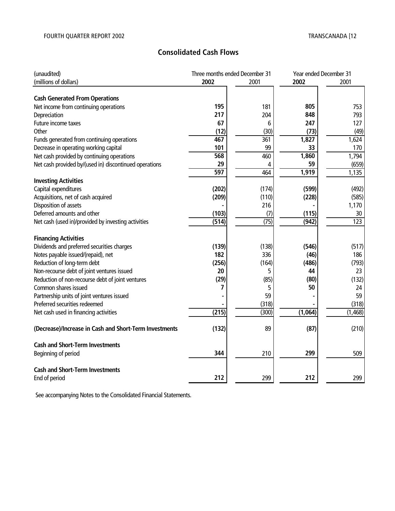# **Consolidated Cash Flows**

| (unaudited)                                            |       | Three months ended December 31 |         | Year ended December 31 |
|--------------------------------------------------------|-------|--------------------------------|---------|------------------------|
| (millions of dollars)                                  | 2002  | 2001                           | 2002    | 2001                   |
|                                                        |       |                                |         |                        |
| <b>Cash Generated From Operations</b>                  |       |                                |         |                        |
| Net income from continuing operations                  | 195   | 181                            | 805     | 753                    |
| Depreciation                                           | 217   | 204                            | 848     | 793                    |
| Future income taxes                                    | 67    | 6                              | 247     | 127                    |
| Other                                                  | (12)  | (30)                           | (73)    | (49)                   |
| Funds generated from continuing operations             | 467   | 361                            | 1,827   | 1,624                  |
| Decrease in operating working capital                  | 101   | 99                             | 33      | 170                    |
| Net cash provided by continuing operations             | 568   | 460                            | 1,860   | 1,794                  |
| Net cash provided by/(used in) discontinued operations | 29    | 4                              | 59      | (659)                  |
|                                                        | 597   | 464                            | 1,919   | 1,135                  |
| <b>Investing Activities</b>                            |       |                                |         |                        |
| Capital expenditures                                   | (202) | (174)                          | (599)   | (492)                  |
| Acquisitions, net of cash acquired                     | (209) | (110)                          | (228)   | (585)                  |
| Disposition of assets                                  |       | 216                            |         | 1,170                  |
| Deferred amounts and other                             | (103) | (7)                            | (115)   | 30                     |
| Net cash (used in)/provided by investing activities    | (514) | (75)                           | (942)   | 123                    |
|                                                        |       |                                |         |                        |
| <b>Financing Activities</b>                            |       |                                |         |                        |
| Dividends and preferred securities charges             | (139) | (138)                          | (546)   | (517)                  |
| Notes payable issued/(repaid), net                     | 182   | 336                            | (46)    | 186                    |
| Reduction of long-term debt                            | (256) | (164)                          | (486)   | (793)                  |
| Non-recourse debt of joint ventures issued             | 20    | 5                              | 44      | 23                     |
| Reduction of non-recourse debt of joint ventures       | (29)  | (85)                           | (80)    | (132)                  |
| Common shares issued                                   | 7     | 5                              | 50      | 24                     |
| Partnership units of joint ventures issued             |       | 59                             |         | 59                     |
| Preferred securities redeemed                          |       | (318)                          |         | (318)                  |
| Net cash used in financing activities                  | (215) | (300)                          | (1,064) | (1, 468)               |
|                                                        |       |                                |         |                        |
| (Decrease)/Increase in Cash and Short-Term Investments | (132) | 89                             | (87)    | (210)                  |
| <b>Cash and Short-Term Investments</b>                 |       |                                |         |                        |
| Beginning of period                                    | 344   | 210                            | 299     | 509                    |
|                                                        |       |                                |         |                        |
| <b>Cash and Short-Term Investments</b>                 |       |                                |         |                        |
| End of period                                          | 212   | 299                            | 212     | 299                    |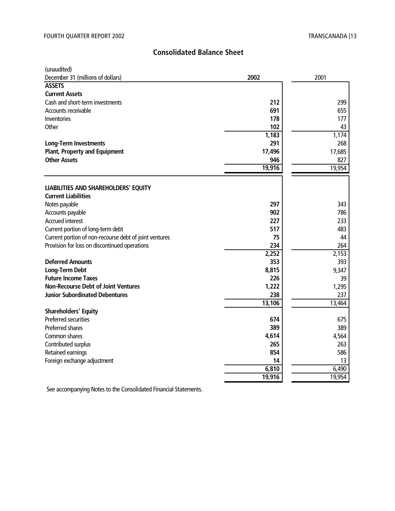# **Consolidated Balance Sheet**

| (unaudited)<br>December 31 (millions of dollars)       | 2002   | 2001   |
|--------------------------------------------------------|--------|--------|
| <b>ASSETS</b>                                          |        |        |
| <b>Current Assets</b>                                  |        |        |
| Cash and short-term investments                        | 212    | 299    |
| Accounts receivable                                    | 691    | 655    |
| <b>Inventories</b>                                     | 178    | 177    |
| Other                                                  | 102    | 43     |
|                                                        | 1,183  | 1,174  |
| <b>Long-Term Investments</b>                           | 291    | 268    |
| <b>Plant, Property and Equipment</b>                   | 17,496 | 17,685 |
| <b>Other Assets</b>                                    | 946    | 827    |
|                                                        | 19,916 | 19,954 |
|                                                        |        |        |
| LIABILITIES AND SHAREHOLDERS' EQUITY                   |        |        |
| <b>Current Liabilities</b>                             |        |        |
| Notes payable                                          | 297    | 343    |
| Accounts payable                                       | 902    | 786    |
| <b>Accrued interest</b>                                | 227    | 233    |
| Current portion of long-term debt                      | 517    | 483    |
| Current portion of non-recourse debt of joint ventures | 75     | 44     |
| Provision for loss on discontinued operations          | 234    | 264    |
|                                                        | 2,252  | 2,153  |
| <b>Deferred Amounts</b>                                | 353    | 393    |
| Long-Term Debt                                         | 8,815  | 9,347  |
| <b>Future Income Taxes</b>                             | 226    | 39     |
| <b>Non-Recourse Debt of Joint Ventures</b>             | 1,222  | 1,295  |
| <b>Junior Subordinated Debentures</b>                  | 238    | 237    |
|                                                        | 13,106 | 13,464 |
| <b>Shareholders' Equity</b>                            |        |        |
| Preferred securities                                   | 674    | 675    |
| Preferred shares                                       | 389    | 389    |
| Common shares                                          | 4,614  | 4,564  |
| Contributed surplus                                    | 265    | 263    |
| Retained earnings                                      | 854    | 586    |
| Foreign exchange adjustment                            | 14     | 13     |
|                                                        | 6,810  | 6,490  |
|                                                        | 19,916 | 19,954 |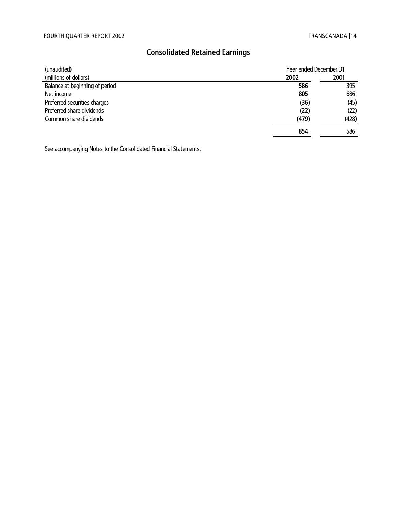# **Consolidated Retained Earnings**

| (unaudited)                    | Year ended December 31 |       |
|--------------------------------|------------------------|-------|
| (millions of dollars)          | 2002                   | 2001  |
| Balance at beginning of period | 586                    | 395   |
| Net income                     | 805                    | 686   |
| Preferred securities charges   | (36)                   | (45)  |
| Preferred share dividends      | (22)                   | (22)  |
| Common share dividends         | (479)                  | (428) |
|                                | 854                    | 586   |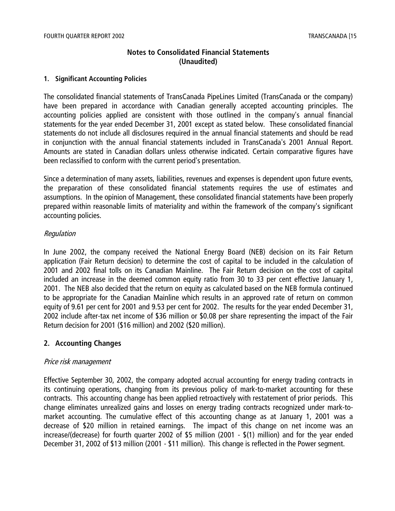# **Notes to Consolidated Financial Statements (Unaudited)**

#### **1. Significant Accounting Policies**

The consolidated financial statements of TransCanada PipeLines Limited (TransCanada or the company) have been prepared in accordance with Canadian generally accepted accounting principles. The accounting policies applied are consistent with those outlined in the company's annual financial statements for the year ended December 31, 2001 except as stated below. These consolidated financial statements do not include all disclosures required in the annual financial statements and should be read in conjunction with the annual financial statements included in TransCanada's 2001 Annual Report. Amounts are stated in Canadian dollars unless otherwise indicated. Certain comparative figures have been reclassified to conform with the current period's presentation.

Since a determination of many assets, liabilities, revenues and expenses is dependent upon future events, the preparation of these consolidated financial statements requires the use of estimates and assumptions. In the opinion of Management, these consolidated financial statements have been properly prepared within reasonable limits of materiality and within the framework of the company's significant accounting policies.

# Regulation

In June 2002, the company received the National Energy Board (NEB) decision on its Fair Return application (Fair Return decision) to determine the cost of capital to be included in the calculation of 2001 and 2002 final tolls on its Canadian Mainline. The Fair Return decision on the cost of capital included an increase in the deemed common equity ratio from 30 to 33 per cent effective January 1, 2001. The NEB also decided that the return on equity as calculated based on the NEB formula continued to be appropriate for the Canadian Mainline which results in an approved rate of return on common equity of 9.61 per cent for 2001 and 9.53 per cent for 2002. The results for the year ended December 31, 2002 include after-tax net income of \$36 million or \$0.08 per share representing the impact of the Fair Return decision for 2001 (\$16 million) and 2002 (\$20 million).

# **2. Accounting Changes**

# Price risk management

Effective September 30, 2002, the company adopted accrual accounting for energy trading contracts in its continuing operations, changing from its previous policy of mark-to-market accounting for these contracts. This accounting change has been applied retroactively with restatement of prior periods. This change eliminates unrealized gains and losses on energy trading contracts recognized under mark-tomarket accounting. The cumulative effect of this accounting change as at January 1, 2001 was a decrease of \$20 million in retained earnings. The impact of this change on net income was an increase/(decrease) for fourth quarter 2002 of \$5 million (2001 - \$(1) million) and for the year ended December 31, 2002 of \$13 million (2001 - \$11 million). This change is reflected in the Power segment.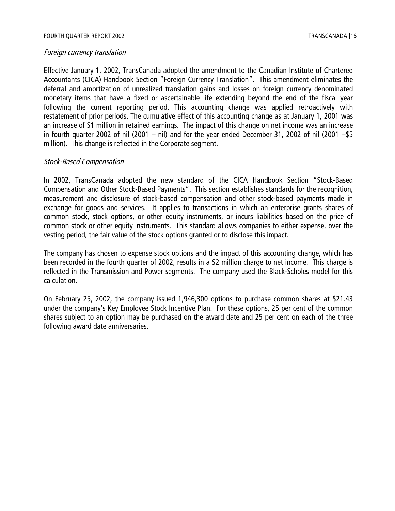#### Foreign currency translation

Effective January 1, 2002, TransCanada adopted the amendment to the Canadian Institute of Chartered Accountants (CICA) Handbook Section "Foreign Currency Translation". This amendment eliminates the deferral and amortization of unrealized translation gains and losses on foreign currency denominated monetary items that have a fixed or ascertainable life extending beyond the end of the fiscal year following the current reporting period. This accounting change was applied retroactively with restatement of prior periods. The cumulative effect of this accounting change as at January 1, 2001 was an increase of \$1 million in retained earnings. The impact of this change on net income was an increase in fourth quarter 2002 of nil (2001 – nil) and for the year ended December 31, 2002 of nil (2001 –\$5 million). This change is reflected in the Corporate segment.

# Stock-Based Compensation

In 2002, TransCanada adopted the new standard of the CICA Handbook Section "Stock-Based Compensation and Other Stock-Based Payments". This section establishes standards for the recognition, measurement and disclosure of stock-based compensation and other stock-based payments made in exchange for goods and services. It applies to transactions in which an enterprise grants shares of common stock, stock options, or other equity instruments, or incurs liabilities based on the price of common stock or other equity instruments. This standard allows companies to either expense, over the vesting period, the fair value of the stock options granted or to disclose this impact.

The company has chosen to expense stock options and the impact of this accounting change, which has been recorded in the fourth quarter of 2002, results in a \$2 million charge to net income. This charge is reflected in the Transmission and Power segments. The company used the Black-Scholes model for this calculation.

On February 25, 2002, the company issued 1,946,300 options to purchase common shares at \$21.43 under the company's Key Employee Stock Incentive Plan. For these options, 25 per cent of the common shares subject to an option may be purchased on the award date and 25 per cent on each of the three following award date anniversaries.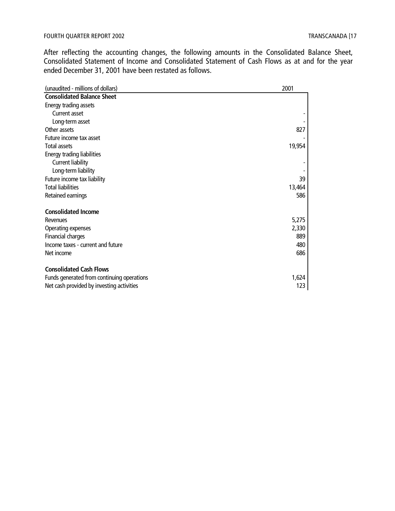After reflecting the accounting changes, the following amounts in the Consolidated Balance Sheet, Consolidated Statement of Income and Consolidated Statement of Cash Flows as at and for the year ended December 31, 2001 have been restated as follows.

| (unaudited - millions of dollars)          | 2001   |
|--------------------------------------------|--------|
| <b>Consolidated Balance Sheet</b>          |        |
| Energy trading assets                      |        |
| Current asset                              |        |
| Long-term asset                            |        |
| Other assets                               | 827    |
| Future income tax asset                    |        |
| <b>Total assets</b>                        | 19,954 |
| Energy trading liabilities                 |        |
| Current liability                          |        |
| Long-term liability                        |        |
| Future income tax liability                | 39     |
| <b>Total liabilities</b>                   | 13,464 |
| Retained earnings                          | 586    |
| <b>Consolidated Income</b>                 |        |
| Revenues                                   | 5,275  |
| Operating expenses                         | 2,330  |
| Financial charges                          | 889    |
| Income taxes - current and future          | 480    |
| Net income                                 | 686    |
| <b>Consolidated Cash Flows</b>             |        |
| Funds generated from continuing operations | 1,624  |
| Net cash provided by investing activities  | 123    |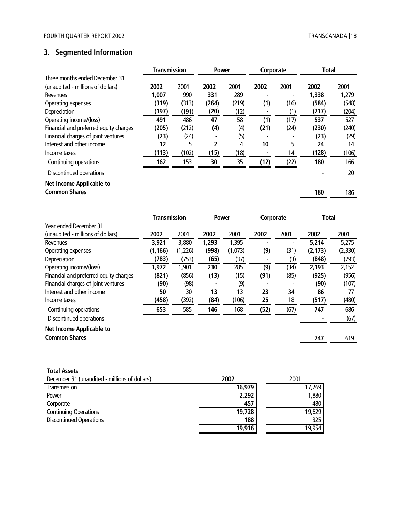# **3. Segmented Information**

|                                        | <b>Transmission</b> |       | <b>Power</b> |       | Corporate |      | <b>Total</b> |       |
|----------------------------------------|---------------------|-------|--------------|-------|-----------|------|--------------|-------|
| Three months ended December 31         |                     |       |              |       |           |      |              |       |
| (unaudited - millions of dollars)      | 2002                | 2001  | 2002         | 2001  | 2002      | 2001 | 2002         | 2001  |
| Revenues                               | 1,007               | 990   | 331          | 289   |           |      | 1,338        | 1,279 |
| Operating expenses                     | (319)               | (313) | (264)        | (219) | (1)       | (16) | (584)        | (548) |
| Depreciation                           | (197)               | (191) | (20)         | (12)  |           | (1)  | (217)        | (204) |
| Operating income/(loss)                | 491                 | 486   | 47           | 58    | (1)       | (17) | 537          | 527   |
| Financial and preferred equity charges | (205)               | (212) | (4)          | (4)   | (21)      | (24) | (230)        | (240) |
| Financial charges of joint ventures    | (23)                | (24)  |              | (5)   |           |      | (23)         | (29)  |
| Interest and other income              | 12                  | 5     | 2            | 4     | 10        | 5    | 24           | 14    |
| Income taxes                           | (113)               | (102) | (15)         | (18)  |           | 14   | (128)        | (106) |
| Continuing operations                  | 162                 | 153   | 30           | 35    | (12)      | (22) | 180          | 166   |
| Discontinued operations                |                     |       |              |       |           |      |              | 20    |
| Net Income Applicable to               |                     |       |              |       |           |      |              |       |
| <b>Common Shares</b>                   |                     |       |              |       |           |      | 180          | 186   |

|                                        | Power<br>Transmission |         |       | Corporate |      | Total |          |         |
|----------------------------------------|-----------------------|---------|-------|-----------|------|-------|----------|---------|
| <b>Year ended December 31</b>          |                       |         |       |           |      |       |          |         |
| (unaudited - millions of dollars)      | 2002                  | 2001    | 2002  | 2001      | 2002 | 2001  | 2002     | 2001    |
| Revenues                               | 3,921                 | 3,880   | 1,293 | 1,395     |      |       | 5,214    | 5,275   |
| Operating expenses                     | (1, 166)              | (1,226) | (998) | (1,073)   | (9)  | (31)  | (2, 173) | (2,330) |
| Depreciation                           | (783)                 | (753)   | (65)  | (37)      |      | (3)   | (848)    | (793)   |
| Operating income/(loss)                | 1,972                 | 1,901   | 230   | 285       | (9)  | (34)  | 2,193    | 2,152   |
| Financial and preferred equity charges | (821)                 | (856)   | (13)  | (15)      | (91) | (85)  | (925)    | (956)   |
| Financial charges of joint ventures    | (90)                  | (98)    |       | (9)       |      |       | (90)     | (107)   |
| Interest and other income              | 50                    | 30      | 13    | 13        | 23   | 34    | 86       | 77      |
| Income taxes                           | (458)                 | (392)   | (84)  | (106)     | 25   | 18    | (517)    | (480)   |
| Continuing operations                  | 653                   | 585     | 146   | 168       | (52) | (67)  | 747      | 686     |
| Discontinued operations                |                       |         |       |           |      |       |          | (67)    |
| <b>Net Income Applicable to</b>        |                       |         |       |           |      |       |          |         |
| <b>Common Shares</b>                   |                       |         |       |           |      |       | 747      | 619     |
|                                        |                       |         |       |           |      |       |          |         |

| <b>Total Assets</b>                           |        |        |
|-----------------------------------------------|--------|--------|
| December 31 (unaudited - millions of dollars) | 2002   | 2001   |
| Transmission                                  | 16,979 | 17,269 |
| Power                                         | 2,292  | 1,880  |
| Corporate                                     | 457    | 480    |
| <b>Continuing Operations</b>                  | 19,728 | 19,629 |
| <b>Discontinued Operations</b>                | 188    | 325    |
|                                               | 19,916 | 19.954 |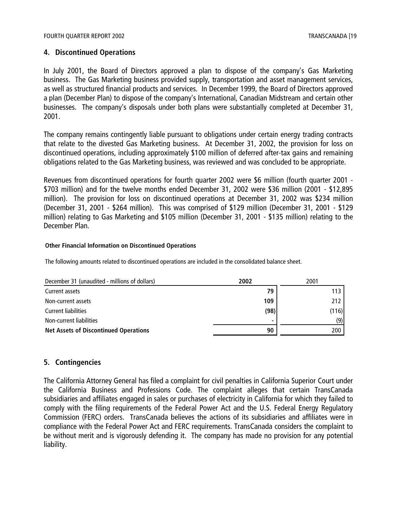# **4. Discontinued Operations**

In July 2001, the Board of Directors approved a plan to dispose of the company's Gas Marketing business. The Gas Marketing business provided supply, transportation and asset management services, as well as structured financial products and services. In December 1999, the Board of Directors approved a plan (December Plan) to dispose of the company's International, Canadian Midstream and certain other businesses. The company's disposals under both plans were substantially completed at December 31, 2001.

The company remains contingently liable pursuant to obligations under certain energy trading contracts that relate to the divested Gas Marketing business. At December 31, 2002, the provision for loss on discontinued operations, including approximately \$100 million of deferred after-tax gains and remaining obligations related to the Gas Marketing business, was reviewed and was concluded to be appropriate.

Revenues from discontinued operations for fourth quarter 2002 were \$6 million (fourth quarter 2001 - \$703 million) and for the twelve months ended December 31, 2002 were \$36 million (2001 - \$12,895 million). The provision for loss on discontinued operations at December 31, 2002 was \$234 million (December 31, 2001 - \$264 million). This was comprised of \$129 million (December 31, 2001 - \$129 million) relating to Gas Marketing and \$105 million (December 31, 2001 - \$135 million) relating to the December Plan.

#### **Other Financial Information on Discontinued Operations**

The following amounts related to discontinued operations are included in the consolidated balance sheet.

| December 31 (unaudited - millions of dollars) | 2002 | 2001  |  |
|-----------------------------------------------|------|-------|--|
| Current assets                                | 79   | 113   |  |
| Non-current assets                            | 109  | 212   |  |
| <b>Current liabilities</b>                    | (98) | (116) |  |
| Non-current liabilities                       |      | (9)   |  |
| <b>Net Assets of Discontinued Operations</b>  | 90   | 200   |  |

# **5. Contingencies**

The California Attorney General has filed a complaint for civil penalties in California Superior Court under the California Business and Professions Code. The complaint alleges that certain TransCanada subsidiaries and affiliates engaged in sales or purchases of electricity in California for which they failed to comply with the filing requirements of the Federal Power Act and the U.S. Federal Energy Regulatory Commission (FERC) orders. TransCanada believes the actions of its subsidiaries and affiliates were in compliance with the Federal Power Act and FERC requirements. TransCanada considers the complaint to be without merit and is vigorously defending it. The company has made no provision for any potential liability.